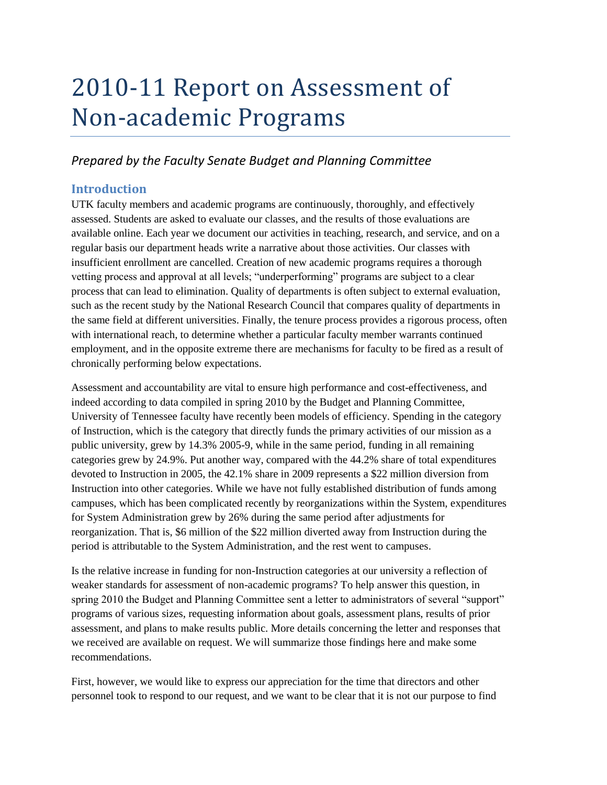# 2010-11 Report on Assessment of Non-academic Programs

# *Prepared by the Faculty Senate Budget and Planning Committee*

## **Introduction**

UTK faculty members and academic programs are continuously, thoroughly, and effectively assessed. Students are asked to evaluate our classes, and the results of those evaluations are available online. Each year we document our activities in teaching, research, and service, and on a regular basis our department heads write a narrative about those activities. Our classes with insufficient enrollment are cancelled. Creation of new academic programs requires a thorough vetting process and approval at all levels; "underperforming" programs are subject to a clear process that can lead to elimination. Quality of departments is often subject to external evaluation, such as the recent study by the National Research Council that compares quality of departments in the same field at different universities. Finally, the tenure process provides a rigorous process, often with international reach, to determine whether a particular faculty member warrants continued employment, and in the opposite extreme there are mechanisms for faculty to be fired as a result of chronically performing below expectations.

Assessment and accountability are vital to ensure high performance and cost-effectiveness, and indeed according to data compiled in spring 2010 by the Budget and Planning Committee, University of Tennessee faculty have recently been models of efficiency. Spending in the category of Instruction, which is the category that directly funds the primary activities of our mission as a public university, grew by 14.3% 2005-9, while in the same period, funding in all remaining categories grew by 24.9%. Put another way, compared with the 44.2% share of total expenditures devoted to Instruction in 2005, the 42.1% share in 2009 represents a \$22 million diversion from Instruction into other categories. While we have not fully established distribution of funds among campuses, which has been complicated recently by reorganizations within the System, expenditures for System Administration grew by 26% during the same period after adjustments for reorganization. That is, \$6 million of the \$22 million diverted away from Instruction during the period is attributable to the System Administration, and the rest went to campuses.

Is the relative increase in funding for non-Instruction categories at our university a reflection of weaker standards for assessment of non-academic programs? To help answer this question, in spring 2010 the Budget and Planning Committee sent a letter to administrators of several "support" programs of various sizes, requesting information about goals, assessment plans, results of prior assessment, and plans to make results public. More details concerning the letter and responses that we received are available on request. We will summarize those findings here and make some recommendations.

First, however, we would like to express our appreciation for the time that directors and other personnel took to respond to our request, and we want to be clear that it is not our purpose to find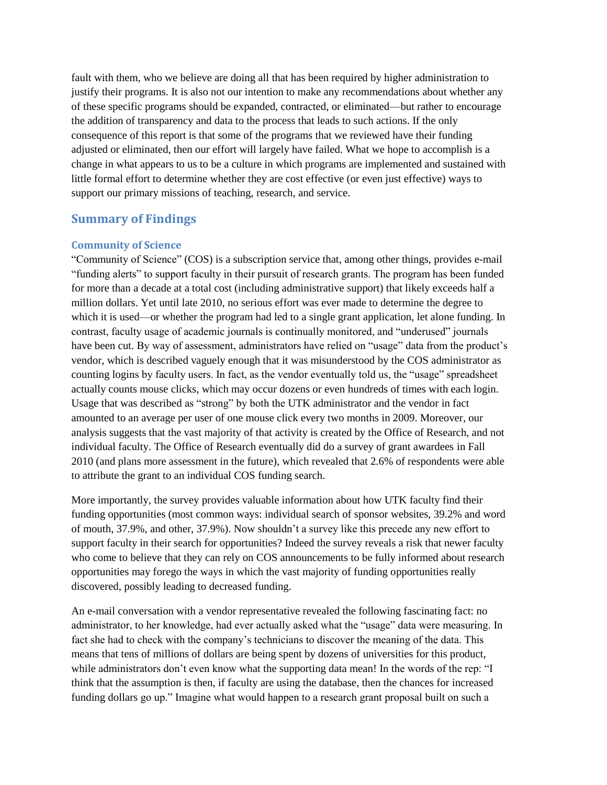fault with them, who we believe are doing all that has been required by higher administration to justify their programs. It is also not our intention to make any recommendations about whether any of these specific programs should be expanded, contracted, or eliminated—but rather to encourage the addition of transparency and data to the process that leads to such actions. If the only consequence of this report is that some of the programs that we reviewed have their funding adjusted or eliminated, then our effort will largely have failed. What we hope to accomplish is a change in what appears to us to be a culture in which programs are implemented and sustained with little formal effort to determine whether they are cost effective (or even just effective) ways to support our primary missions of teaching, research, and service.

### **Summary of Findings**

#### **Community of Science**

"Community of Science" (COS) is a subscription service that, among other things, provides e-mail "funding alerts" to support faculty in their pursuit of research grants. The program has been funded for more than a decade at a total cost (including administrative support) that likely exceeds half a million dollars. Yet until late 2010, no serious effort was ever made to determine the degree to which it is used—or whether the program had led to a single grant application, let alone funding. In contrast, faculty usage of academic journals is continually monitored, and "underused" journals have been cut. By way of assessment, administrators have relied on "usage" data from the product's vendor, which is described vaguely enough that it was misunderstood by the COS administrator as counting logins by faculty users. In fact, as the vendor eventually told us, the "usage" spreadsheet actually counts mouse clicks, which may occur dozens or even hundreds of times with each login. Usage that was described as "strong" by both the UTK administrator and the vendor in fact amounted to an average per user of one mouse click every two months in 2009. Moreover, our analysis suggests that the vast majority of that activity is created by the Office of Research, and not individual faculty. The Office of Research eventually did do a survey of grant awardees in Fall 2010 (and plans more assessment in the future), which revealed that 2.6% of respondents were able to attribute the grant to an individual COS funding search.

More importantly, the survey provides valuable information about how UTK faculty find their funding opportunities (most common ways: individual search of sponsor websites, 39.2% and word of mouth, 37.9%, and other, 37.9%). Now shouldn't a survey like this precede any new effort to support faculty in their search for opportunities? Indeed the survey reveals a risk that newer faculty who come to believe that they can rely on COS announcements to be fully informed about research opportunities may forego the ways in which the vast majority of funding opportunities really discovered, possibly leading to decreased funding.

An e-mail conversation with a vendor representative revealed the following fascinating fact: no administrator, to her knowledge, had ever actually asked what the "usage" data were measuring. In fact she had to check with the company's technicians to discover the meaning of the data. This means that tens of millions of dollars are being spent by dozens of universities for this product, while administrators don't even know what the supporting data mean! In the words of the rep: "I think that the assumption is then, if faculty are using the database, then the chances for increased funding dollars go up." Imagine what would happen to a research grant proposal built on such a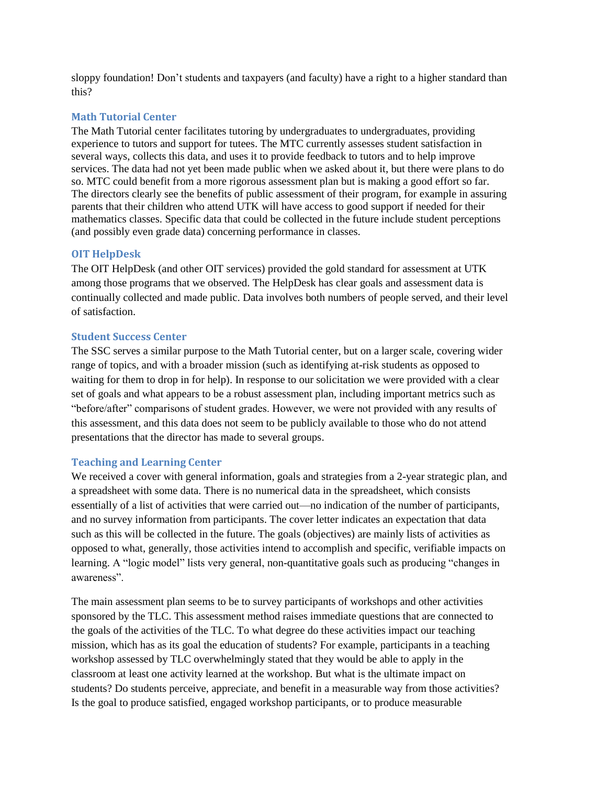sloppy foundation! Don't students and taxpayers (and faculty) have a right to a higher standard than this?

#### **Math Tutorial Center**

The Math Tutorial center facilitates tutoring by undergraduates to undergraduates, providing experience to tutors and support for tutees. The MTC currently assesses student satisfaction in several ways, collects this data, and uses it to provide feedback to tutors and to help improve services. The data had not yet been made public when we asked about it, but there were plans to do so. MTC could benefit from a more rigorous assessment plan but is making a good effort so far. The directors clearly see the benefits of public assessment of their program, for example in assuring parents that their children who attend UTK will have access to good support if needed for their mathematics classes. Specific data that could be collected in the future include student perceptions (and possibly even grade data) concerning performance in classes.

#### **OIT HelpDesk**

The OIT HelpDesk (and other OIT services) provided the gold standard for assessment at UTK among those programs that we observed. The HelpDesk has clear goals and assessment data is continually collected and made public. Data involves both numbers of people served, and their level of satisfaction.

#### **Student Success Center**

The SSC serves a similar purpose to the Math Tutorial center, but on a larger scale, covering wider range of topics, and with a broader mission (such as identifying at-risk students as opposed to waiting for them to drop in for help). In response to our solicitation we were provided with a clear set of goals and what appears to be a robust assessment plan, including important metrics such as "before/after" comparisons of student grades. However, we were not provided with any results of this assessment, and this data does not seem to be publicly available to those who do not attend presentations that the director has made to several groups.

#### **Teaching and Learning Center**

We received a cover with general information, goals and strategies from a 2-year strategic plan, and a spreadsheet with some data. There is no numerical data in the spreadsheet, which consists essentially of a list of activities that were carried out—no indication of the number of participants, and no survey information from participants. The cover letter indicates an expectation that data such as this will be collected in the future. The goals (objectives) are mainly lists of activities as opposed to what, generally, those activities intend to accomplish and specific, verifiable impacts on learning. A "logic model" lists very general, non-quantitative goals such as producing "changes in awareness".

The main assessment plan seems to be to survey participants of workshops and other activities sponsored by the TLC. This assessment method raises immediate questions that are connected to the goals of the activities of the TLC. To what degree do these activities impact our teaching mission, which has as its goal the education of students? For example, participants in a teaching workshop assessed by TLC overwhelmingly stated that they would be able to apply in the classroom at least one activity learned at the workshop. But what is the ultimate impact on students? Do students perceive, appreciate, and benefit in a measurable way from those activities? Is the goal to produce satisfied, engaged workshop participants, or to produce measurable